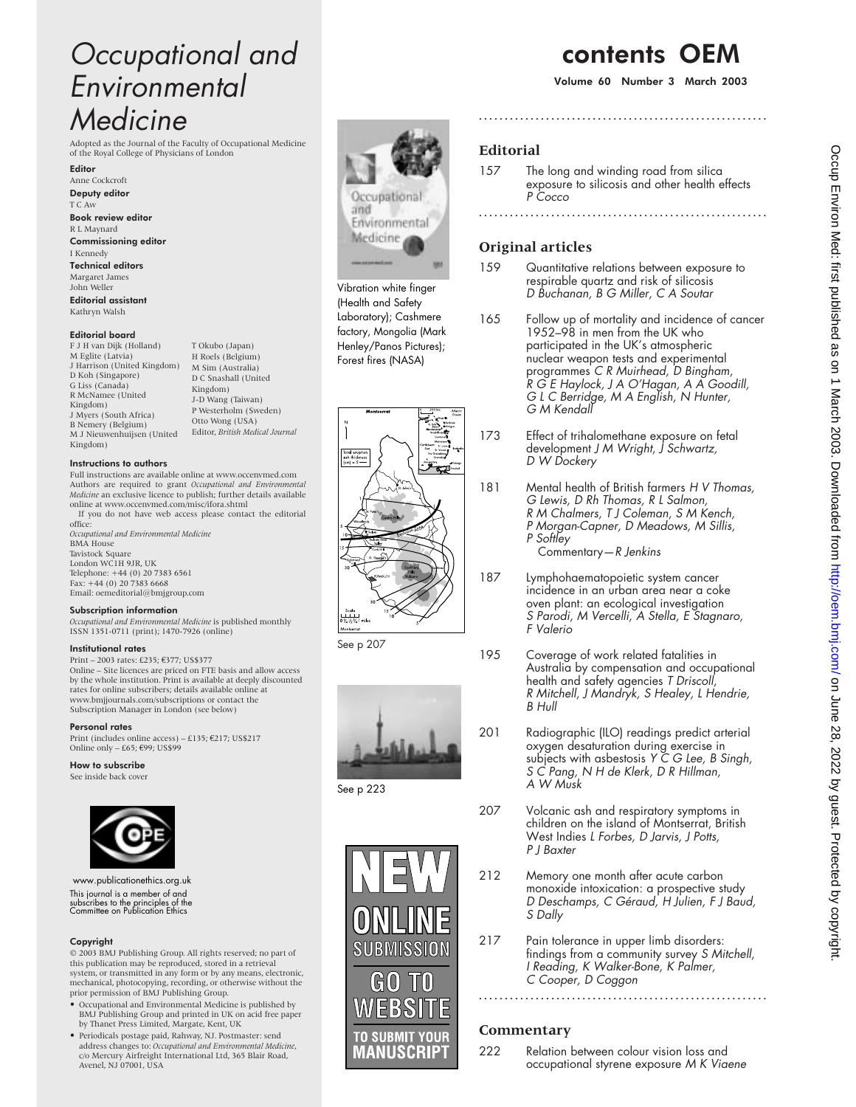# Occupational and Environmental **Medicine**

Adopted as the Journal of the Faculty of Occupational Medicine of the Royal College of Physicians of London

Editor Anne Cockcroft Deputy editor T C Aw Book review editor R L Maynard Commissioning editor

I Kennedy Technical editors Margaret James John Weller Editorial assistant Kathryn Walsh

### Editorial board

F J H van Dijk (Holland) M Eglite (Latvia) J Harrison (United Kingdom) D Koh (Singapore) G Liss (Canada) R McNamee (United Kingdom) J Myers (South Africa) B Nemery (Belgium) M J Nieuwenhuijsen (United Kingdom)

## Instructions to authors

Full instructions are available online at www.occenvmed.com Authors are required to grant *Occupational and Environmental Medicine* an exclusive licence to publish; further details available online at www.occenvmed.com/misc/ifora.shtml If you do not have web access please contact the editorial

T Okubo (Japan) H Roels (Belgium) M Sim (Australia) D C Snashall (United Kingdom) J-D Wang (Taiwan) P Westerholm (Sweden) Otto Wong (USA) Editor, *British Medical Journal*

office: *Occupational and Environmental Medicine* BMA House Tavistock Square London WC1H 9JR, UK Telephone: +44 (0) 20 7383 6561 Fax: +44 (0) 20 7383 6668 Email: oemeditorial@bmjgroup.com

## Subscription information

*Occupational and Environmental Medicine* is published monthly ISSN 1351-0711 (print); 1470-7926 (online)

#### Institutional rates

Print – 2003 rates: £235; €377; US\$377 Online – Site licences are priced on FTE basis and allow access by the whole institution. Print is available at deeply discounted rates for online subscribers; details available online at www.bmjjournals.com/subscriptions or contact the Subscription Manager in London (see below)

#### Personal rates

Print (includes online access) – £135; €217; US\$217 Online only – £65;  $€99$ ; US\$99

## How to subscribe

See inside back cover



www.publicationethics.org.uk This journal is a member of and subscribes to the principles of the Committee on Publication Ethics

## Copyright

© 2003 BMJ Publishing Group. All rights reserved; no part of this publication may be reproduced, stored in a retrieval system, or transmitted in any form or by any means, electronic, mechanical, photocopying, recording, or otherwise without the prior permission of BMJ Publishing Group.

- Occupational and Environmental Medicine is published by BMJ Publishing Group and printed in UK on acid free paper by Thanet Press Limited, Margate, Kent, UK
- Periodicals postage paid, Rahway, NJ. Postmaster: send address changes to: *Occupational and Environmental Medicine*, c/o Mercury Airfreight International Ltd, 365 Blair Road, Avenel, NJ 07001, USA



Vibration white finger (Health and Safety Laboratory); Cashmere factory, Mongolia (Mark Henley/Panos Pictures); Forest fires (NASA)



See p 207



See p 223



# contents OEM

Volume 60 Number 3 March 2003

# **Editorial**

157 The long and winding road from silica exposure to silicosis and other health effects P Cocco

**........................................................**

**........................................................**

# **Original articles**

- 159 Quantitative relations between exposure to respirable quartz and risk of silicosis D Buchanan, B G Miller, C A Soutar
- 165 Follow up of mortality and incidence of cancer 1952–98 in men from the UK who participated in the UK's atmospheric nuclear weapon tests and experimental programmes C <sup>R</sup> Muirhead, <sup>D</sup> Bingham, <sup>R</sup> G <sup>E</sup> Haylock, J A O'Hagan, A A Goodill, G <sup>L</sup> C Berridge, M A English, N Hunter, G M Kendall
- 173 Effect of trihalomethane exposure on fetal development J M Wright, J Schwartz, <sup>D</sup> W Dockery
- 181 Mental health of British farmers H V Thomas, G Lewis, D Rh Thomas, R L Salmon, R M Chalmers, T J Coleman, S M Kench, <sup>P</sup> Morgan-Capner, <sup>D</sup> Meadows, M Sillis, P Softley Commentary—R Jenkins
- 187 Lymphohaematopoietic system cancer incidence in an urban area near a coke oven plant: an ecological investigation S Parodi, M Vercelli, A Stella, <sup>E</sup> Stagnaro, F Valerio
- 195 Coverage of work related fatalities in Australia by compensation and occupational health and safety agencies T Driscoll, <sup>R</sup> Mitchell, J Mandryk, S Healey, <sup>L</sup> Hendrie, B Hull
- 201 Radiographic (ILO) readings predict arterial oxygen desaturation during exercise in subjects with asbestosis <sup>Y</sup> C G Lee, <sup>B</sup> Singh, S C Pang, N <sup>H</sup> de Klerk, <sup>D</sup> <sup>R</sup> Hillman, A W Musk
- 207 Volcanic ash and respiratory symptoms in children on the island of Montserrat, British West Indies L Forbes, D Jarvis, J Potts, P J Baxter
- 212 Memory one month after acute carbon monoxide intoxication: a prospective study <sup>D</sup> Deschamps, C Géraud, <sup>H</sup> Julien, <sup>F</sup> J Baud, S Dally
- 217 Pain tolerance in upper limb disorders: findings from a community survey S Mitchell, <sup>I</sup> Reading, <sup>K</sup> Walker-Bone, <sup>K</sup> Palmer, C Cooper, D Coggon

**........................................................**

## **Commentary**

222 Relation between colour vision loss and occupational styrene exposure M K Viaene